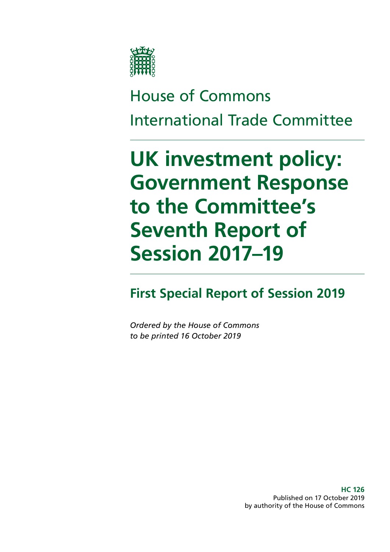

# House of Commons International Trade Committee

# **UK investment policy: Government Response to the Committee's Seventh Report of Session 2017–19**

**First Special Report of Session 2019**

*Ordered by the House of Commons to be printed 16 October 2019*

> **HC 126** Published on 17 October 2019 by authority of the House of Commons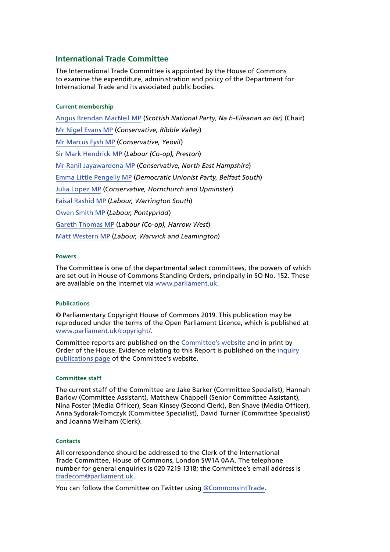### **International Trade Committee**

The International Trade Committee is appointed by the House of Commons to examine the expenditure, administration and policy of the Department for International Trade and its associated public bodies.

#### **Current membership**

[Angus Brendan MacNeil MP](https://www.parliament.uk/biographies/commons/angus-brendan-macneil/1546) (*Scottish National Party, Na h-Eileanan an Iar)* (Chair) [Mr Nigel Evans MP](https://www.parliament.uk/biographies/commons/mr-nigel-evans/474) (*Conservative, Ribble Valley*) [Mr Marcus Fysh MP](https://www.parliament.uk/biographies/commons/mr-marcus-fysh/4446) (*Conservative, Yeovil*) [Sir Mark Hendrick MP](https://www.parliament.uk/biographies/commons/sir-mark-hendrick/473) (*Labour (Co-op), Preston*) [Mr Ranil Jayawardena MP](https://www.parliament.uk/biographies/commons/mr-ranil-jayawardena/4498) (*Conservative, North East Hampshire*) [Emma Little Pengelly MP](https://www.parliament.uk/biographies/commons/emma-little-pengelly/4611) (*Democratic Unionist Party, Belfast South*) [Julia Lopez MP](https://www.parliament.uk/biographies/commons/julia-lopez/4647) (*Conservative, Hornchurch and Upminster*) [Faisal Rashid MP](https://www.parliament.uk/biographies/commons/faisal-rashid/4670) (*Labour, Warrington South*) [Owen Smith MP](https://www.parliament.uk/biographies/commons/owen-smith/4042) (*Labour, Pontypridd*) [Gareth Thomas MP](https://www.parliament.uk/biographies/commons/gareth-thomas/177) (*Labour (Co-op), Harrow West*) [Matt Western MP](https://www.parliament.uk/biographies/commons/matt-western/4617) (*Labour, Warwick and Leamington*)

### **Powers**

The Committee is one of the departmental select committees, the powers of which are set out in House of Commons Standing Orders, principally in SO No. 152. These are available on the internet via [www.parliament.uk.](https://www.parliament.uk/)

### **Publications**

© Parliamentary Copyright House of Commons 2019. This publication may be reproduced under the terms of the Open Parliament Licence, which is published at [www.parliament.uk/copyright/.](https://www.parliament.uk/copyright/)

Committee reports are published on the [Committee's website](https://www.parliament.uk/business/committees/committees-a-z/commons-select/international-trade-committee/) and in print by Order of the House. Evidence relating to this Report is published on the [inquiry](https://www.parliament.uk/business/committees/committees-a-z/commons-select/international-trade-committee/inquiries/parliament-2017/uk-investment-policy-17-19/publications/)  [publications page](https://www.parliament.uk/business/committees/committees-a-z/commons-select/international-trade-committee/inquiries/parliament-2017/uk-investment-policy-17-19/publications/) of the Committee's website.

#### **Committee staff**

The current staff of the Committee are Jake Barker (Committee Specialist), Hannah Barlow (Committee Assistant), Matthew Chappell (Senior Committee Assistant), Nina Foster (Media Officer), Sean Kinsey (Second Clerk), Ben Shave (Media Officer), Anna Sydorak-Tomczyk (Committee Specialist), David Turner (Committee Specialist) and Joanna Welham (Clerk).

#### **Contacts**

All correspondence should be addressed to the Clerk of the International Trade Committee, House of Commons, London SW1A 0AA. The telephone number for general enquiries is 020 7219 1318; the Committee's email address is [tradecom@parliament.uk.](mailto:tradecom%40parliament.uk?subject=)

You can follow the Committee on Twitter using [@CommonsIntTrade](https://twitter.com/CommonsIntTrade?ref_src=twsrc%5Etfw%7Ctwcamp%5Eembeddedtimeline%7Ctwterm%5Eprofile%3ACommonsIntTrade%7Ctwgr%5E393039363b74776565745f6d65646961&ref_url=https%3A%2F%2Fwww.parliament.uk%2Fbusiness%2Fcommittees%2Fcommittees-a-z%2Fcommons-select%2Finternational-trade-committee%2F).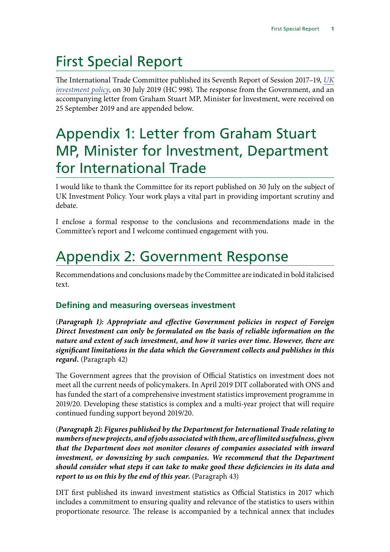# First Special Report

The International Trade Committee published its Seventh Report of Session 2017–19, *[UK](https://publications.parliament.uk/pa/cm201719/cmselect/cmintrade/998/998.pdf) [investment policy](https://publications.parliament.uk/pa/cm201719/cmselect/cmintrade/998/998.pdf)*, on 30 July 2019 (HC 998). The response from the Government, and an accompanying letter from Graham Stuart MP, Minister for lnvestment, were received on 25 September 2019 and are appended below.

# Appendix 1: Letter from Graham Stuart MP, Minister for lnvestment, Department for International Trade

I would like to thank the Committee for its report published on 30 July on the subject of UK Investment Policy. Your work plays a vital part in providing important scrutiny and debate.

I enclose a formal response to the conclusions and recommendations made in the Committee's report and I welcome continued engagement with you.

# Appendix 2: Government Response

Recommendations and conclusions made by the Committee are indicated in bold italicised text.

## **Defining and measuring overseas investment**

(*Paragraph 1): Appropriate and effective Government policies in respect of Foreign Direct Investment can only be formulated on the basis of reliable information on the nature and extent of such investment, and how it varies over time. However, there are significant limitations in the data which the Government collects and publishes in this regard.* (Paragraph 42)

The Government agrees that the provision of Official Statistics on investment does not meet all the current needs of policymakers. In April 2019 DIT collaborated with ONS and has funded the start of a comprehensive investment statistics improvement programme in 2019/20. Developing these statistics is complex and a multi-year project that will require continued funding support beyond 2019/20.

(*Paragraph 2): Figures published by the Department for International Trade relating to numbers of new projects, and of jobs associated with them, are of limited usefulness, given that the Department does not monitor closures of companies associated with inward investment, or downsizing by such companies. We recommend that the Department should consider what steps it can take to make good these deficiencies in its data and report to us on this by the end of this year.* (Paragraph 43)

DIT first published its inward investment statistics as Official Statistics in 2017 which includes a commitment to ensuring quality and relevance of the statistics to users within proportionate resource. The release is accompanied by a technical annex that includes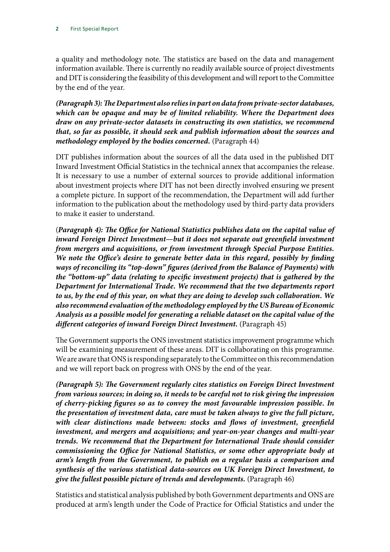a quality and methodology note. The statistics are based on the data and management information available. There is currently no readily available source of project divestments and DIT is considering the feasibility of this development and will report to the Committee by the end of the year.

*(Paragraph 3): The Department also relies in part on data from private-sector databases, which can be opaque and may be of limited reliability. Where the Department does draw on any private-sector datasets in constructing its own statistics, we recommend that, so far as possible, it should seek and publish information about the sources and methodology employed by the bodies concerned.* (Paragraph 44)

DIT publishes information about the sources of all the data used in the published DIT Inward Investment Official Statistics in the technical annex that accompanies the release. It is necessary to use a number of external sources to provide additional information about investment projects where DIT has not been directly involved ensuring we present a complete picture. In support of the recommendation, the Department will add further information to the publication about the methodology used by third-party data providers to make it easier to understand.

(*Paragraph 4): The Office for National Statistics publishes data on the capital value of*  inward Foreign Direct Investment—but it does not separate out greenfield investment *from mergers and acquisitions, or from investment through Special Purpose Entities. We note the Office's desire to generate better data in this regard, possibly by finding ways of reconciling its "top-down" figures (derived from the Balance of Payments) with the "bottom-up" data (relating to specific investment projects) that is gathered by the Department for International Trade. We recommend that the two departments report to us, by the end of this year, on what they are doing to develop such collaboration. We also recommend evaluation of the methodology employed by the US Bureau of Economic Analysis as a possible model for generating a reliable dataset on the capital value of the different categories of inward Foreign Direct Investment.* (Paragraph 45)

The Government supports the ONS investment statistics improvement programme which will be examining measurement of these areas. DIT is collaborating on this programme. We are aware that ONS is responding separately to the Committee on this recommendation and we will report back on progress with ONS by the end of the year.

*(Paragraph 5): The Government regularly cites statistics on Foreign Direct Investment from various sources; in doing so, it needs to be careful not to risk giving the impression of cherry-picking figures so as to convey the most favourable impression possible. In the presentation of investment data, care must be taken always to give the full picture, with clear distinctions made between: stocks and flows of investment, greenfield investment, and mergers and acquisitions; and year-on-year changes and multi-year trends. We recommend that the Department for International Trade should consider commissioning the Office for National Statistics, or some other appropriate body at arm's length from the Government, to publish on a regular basis a comparison and synthesis of the various statistical data-sources on UK Foreign Direct Investment, to give the fullest possible picture of trends and developments.* (Paragraph 46)

Statistics and statistical analysis published by both Government departments and ONS are produced at arm's length under the Code of Practice for Official Statistics and under the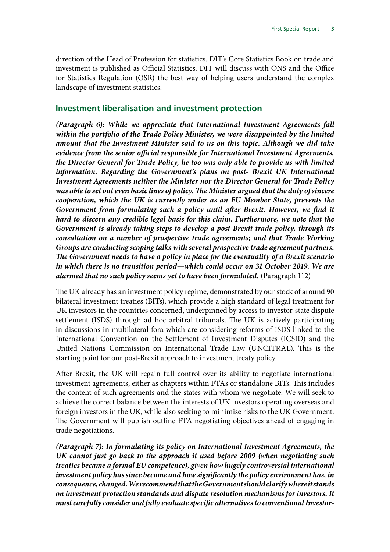direction of the Head of Profession for statistics. DIT's Core Statistics Book on trade and investment is published as Official Statistics. DIT will discuss with ONS and the Office for Statistics Regulation (OSR) the best way of helping users understand the complex landscape of investment statistics.

### **Investment liberalisation and investment protection**

*(Paragraph 6): While we appreciate that International Investment Agreements fall within the portfolio of the Trade Policy Minister, we were disappointed by the limited amount that the Investment Minister said to us on this topic. Although we did take evidence from the senior official responsible for International Investment Agreements, the Director General for Trade Policy, he too was only able to provide us with limited*  information. Regarding the Government's plans on post- Brexit UK International *Investment Agreements neither the Minister nor the Director General for Trade Policy was able to set out even basic lines of policy. The Minister argued that the duty of sincere cooperation, which the UK is currently under as an EU Member State, prevents the Government from formulating such a policy until after Brexit. However, we find it hard to discern any credible legal basis for this claim. Furthermore, we note that the Government is already taking steps to develop a post-Brexit trade policy, through its consultation on a number of prospective trade agreements; and that Trade Working Groups are conducting scoping talks with several prospective trade agreement partners. The Government needs to have a policy in place for the eventuality of a Brexit scenario*  in which there is no transition period—which could occur on 31 October 2019. We are *alarmed that no such policy seems yet to have been formulated.* (Paragraph 112)

The UK already has an investment policy regime, demonstrated by our stock of around 90 bilateral investment treaties (BITs), which provide a high standard of legal treatment for UK investors in the countries concerned, underpinned by access to investor-state dispute settlement (ISDS) through ad hoc arbitral tribunals. The UK is actively participating in discussions in multilateral fora which are considering reforms of ISDS linked to the International Convention on the Settlement of Investment Disputes (ICSID) and the United Nations Commission on International Trade Law (UNCITRAL). This is the starting point for our post-Brexit approach to investment treaty policy.

After Brexit, the UK will regain full control over its ability to negotiate international investment agreements, either as chapters within FTAs or standalone BITs. This includes the content of such agreements and the states with whom we negotiate. We will seek to achieve the correct balance between the interests of UK investors operating overseas and foreign investors in the UK, while also seeking to minimise risks to the UK Government. The Government will publish outline FTA negotiating objectives ahead of engaging in trade negotiations.

*(Paragraph 7): In formulating its policy on International Investment Agreements, the UK cannot just go back to the approach it used before 2009 (when negotiating such treaties became a formal EU competence), given how hugely controversial international investment policy has since become and how significantly the policy environment has, in consequence, changed. We recommend that the Government should clarify where it stands on investment protection standards and dispute resolution mechanisms for investors. It must carefully consider and fully evaluate specific alternatives to conventional Investor-*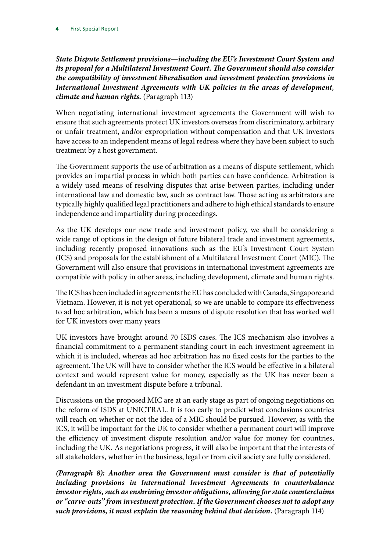*State Dispute Settlement provisions—including the EU's Investment Court System and its proposal for a Multilateral Investment Court. The Government should also consider the compatibility of investment liberalisation and investment protection provisions in International Investment Agreements with UK policies in the areas of development, climate and human rights.* (Paragraph 113)

When negotiating international investment agreements the Government will wish to ensure that such agreements protect UK investors overseas from discriminatory, arbitrary or unfair treatment, and/or expropriation without compensation and that UK investors have access to an independent means of legal redress where they have been subject to such treatment by a host government.

The Government supports the use of arbitration as a means of dispute settlement, which provides an impartial process in which both parties can have confidence. Arbitration is a widely used means of resolving disputes that arise between parties, including under international law and domestic law, such as contract law. Those acting as arbitrators are typically highly qualified legal practitioners and adhere to high ethical standards to ensure independence and impartiality during proceedings.

As the UK develops our new trade and investment policy, we shall be considering a wide range of options in the design of future bilateral trade and investment agreements, including recently proposed innovations such as the EU's Investment Court System (ICS) and proposals for the establishment of a Multilateral Investment Court (MIC). The Government will also ensure that provisions in international investment agreements are compatible with policy in other areas, including development, climate and human rights.

The ICS has been included in agreements the EU has concluded with Canada, Singapore and Vietnam. However, it is not yet operational, so we are unable to compare its effectiveness to ad hoc arbitration, which has been a means of dispute resolution that has worked well for UK investors over many years

UK investors have brought around 70 ISDS cases. The ICS mechanism also involves a financial commitment to a permanent standing court in each investment agreement in which it is included, whereas ad hoc arbitration has no fixed costs for the parties to the agreement. The UK will have to consider whether the ICS would be effective in a bilateral context and would represent value for money, especially as the UK has never been a defendant in an investment dispute before a tribunal.

Discussions on the proposed MIC are at an early stage as part of ongoing negotiations on the reform of ISDS at UNICTRAL. It is too early to predict what conclusions countries will reach on whether or not the idea of a MIC should be pursued. However, as with the ICS, it will be important for the UK to consider whether a permanent court will improve the efficiency of investment dispute resolution and/or value for money for countries, including the UK. As negotiations progress, it will also be important that the interests of all stakeholders, whether in the business, legal or from civil society are fully considered.

*(Paragraph 8): Another area the Government must consider is that of potentially including provisions in International Investment Agreements to counterbalance investor rights, such as enshrining investor obligations, allowing for state counterclaims or "carve-outs" from investment protection. If the Government chooses not to adopt any such provisions, it must explain the reasoning behind that decision.* (Paragraph 114)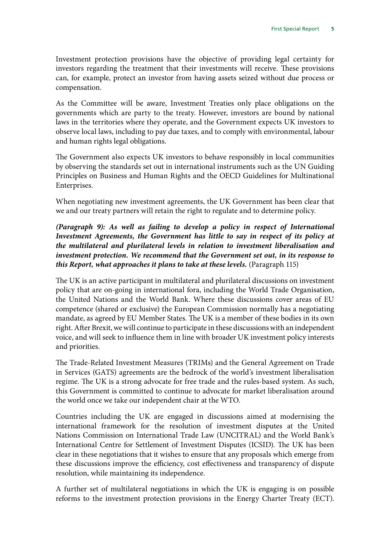Investment protection provisions have the objective of providing legal certainty for investors regarding the treatment that their investments will receive. These provisions can, for example, protect an investor from having assets seized without due process or compensation.

As the Committee will be aware, Investment Treaties only place obligations on the governments which are party to the treaty. However, investors are bound by national laws in the territories where they operate, and the Government expects UK investors to observe local laws, including to pay due taxes, and to comply with environmental, labour and human rights legal obligations.

The Government also expects UK investors to behave responsibly in local communities by observing the standards set out in international instruments such as the UN Guiding Principles on Business and Human Rights and the OECD Guidelines for Multinational Enterprises.

When negotiating new investment agreements, the UK Government has been clear that we and our treaty partners will retain the right to regulate and to determine policy.

*(Paragraph 9): As well as failing to develop a policy in respect of International*  Investment Agreements, the Government has little to say in respect of its policy at *the multilateral and plurilateral levels in relation to investment liberalisation and investment protection. We recommend that the Government set out, in its response to this Report, what approaches it plans to take at these levels.* (Paragraph 115)

The UK is an active participant in multilateral and plurilateral discussions on investment policy that are on-going in international fora, including the World Trade Organisation, the United Nations and the World Bank. Where these discussions cover areas of EU competence (shared or exclusive) the European Commission normally has a negotiating mandate, as agreed by EU Member States. The UK is a member of these bodies in its own right. After Brexit, we will continue to participate in these discussions with an independent voice, and will seek to influence them in line with broader UK investment policy interests and priorities.

The Trade-Related Investment Measures (TRIMs) and the General Agreement on Trade in Services (GATS) agreements are the bedrock of the world's investment liberalisation regime. The UK is a strong advocate for free trade and the rules-based system. As such, this Government is committed to continue to advocate for market liberalisation around the world once we take our independent chair at the WTO.

Countries including the UK are engaged in discussions aimed at modernising the international framework for the resolution of investment disputes at the United Nations Commission on International Trade Law (UNCITRAL) and the World Bank's International Centre for Settlement of Investment Disputes (ICSID). The UK has been clear in these negotiations that it wishes to ensure that any proposals which emerge from these discussions improve the efficiency, cost effectiveness and transparency of dispute resolution, while maintaining its independence.

A further set of multilateral negotiations in which the UK is engaging is on possible reforms to the investment protection provisions in the Energy Charter Treaty (ECT).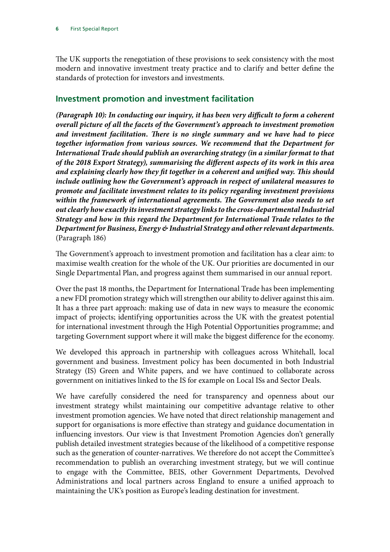The UK supports the renegotiation of these provisions to seek consistency with the most modern and innovative investment treaty practice and to clarify and better define the standards of protection for investors and investments.

## **Investment promotion and investment facilitation**

*(Paragraph 10): In conducting our inquiry, it has been very difficult to form a coherent overall picture of all the facets of the Government's approach to investment promotion and investment facilitation. There is no single summary and we have had to piece together information from various sources. We recommend that the Department for International Trade should publish an overarching strategy (in a similar format to that of the 2018 Export Strategy), summarising the different aspects of its work in this area and explaining clearly how they fit together in a coherent and unified way. This should include outlining how the Government's approach in respect of unilateral measures to promote and facilitate investment relates to its policy regarding investment provisions*  within the framework of international agreements. The Government also needs to set *out clearly how exactly its investment strategy links to the cross-departmental Industrial Strategy and how in this regard the Department for International Trade relates to the Department for Business, Energy & Industrial Strategy and other relevant departments.* (Paragraph 186)

The Government's approach to investment promotion and facilitation has a clear aim: to maximise wealth creation for the whole of the UK. Our priorities are documented in our Single Departmental Plan, and progress against them summarised in our annual report.

Over the past 18 months, the Department for International Trade has been implementing a new FDI promotion strategy which will strengthen our ability to deliver against this aim. It has a three part approach: making use of data in new ways to measure the economic impact of projects; identifying opportunities across the UK with the greatest potential for international investment through the High Potential Opportunities programme; and targeting Government support where it will make the biggest difference for the economy.

We developed this approach in partnership with colleagues across Whitehall, local government and business. Investment policy has been documented in both Industrial Strategy (IS) Green and White papers, and we have continued to collaborate across government on initiatives linked to the IS for example on Local ISs and Sector Deals.

We have carefully considered the need for transparency and openness about our investment strategy whilst maintaining our competitive advantage relative to other investment promotion agencies. We have noted that direct relationship management and support for organisations is more effective than strategy and guidance documentation in influencing investors. Our view is that Investment Promotion Agencies don't generally publish detailed investment strategies because of the likelihood of a competitive response such as the generation of counter-narratives. We therefore do not accept the Committee's recommendation to publish an overarching investment strategy, but we will continue to engage with the Committee, BEIS, other Government Departments, Devolved Administrations and local partners across England to ensure a unified approach to maintaining the UK's position as Europe's leading destination for investment.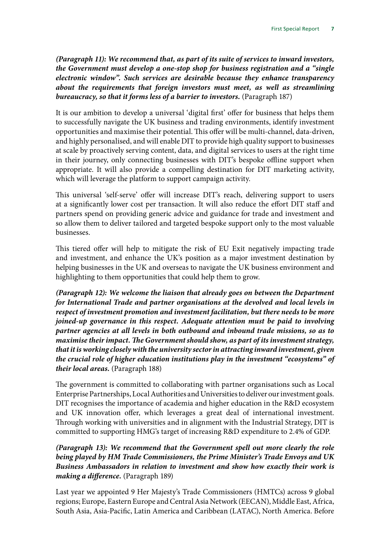*(Paragraph 11): We recommend that, as part of its suite of services to inward investors, the Government must develop a one-stop shop for business registration and a "single electronic window". Such services are desirable because they enhance transparency about the requirements that foreign investors must meet, as well as streamlining bureaucracy, so that it forms less of a barrier to investors.* (Paragraph 187)

It is our ambition to develop a universal 'digital first' offer for business that helps them to successfully navigate the UK business and trading environments, identify investment opportunities and maximise their potential. This offer will be multi-channel, data-driven, and highly personalised, and will enable DIT to provide high quality support to businesses at scale by proactively serving content, data, and digital services to users at the right time in their journey, only connecting businesses with DIT's bespoke offline support when appropriate. It will also provide a compelling destination for DIT marketing activity, which will leverage the platform to support campaign activity.

This universal 'self-serve' offer will increase DIT's reach, delivering support to users at a significantly lower cost per transaction. It will also reduce the effort DIT staff and partners spend on providing generic advice and guidance for trade and investment and so allow them to deliver tailored and targeted bespoke support only to the most valuable businesses.

This tiered offer will help to mitigate the risk of EU Exit negatively impacting trade and investment, and enhance the UK's position as a major investment destination by helping businesses in the UK and overseas to navigate the UK business environment and highlighting to them opportunities that could help them to grow.

*(Paragraph 12): We welcome the liaison that already goes on between the Department for International Trade and partner organisations at the devolved and local levels in respect of investment promotion and investment facilitation, but there needs to be more joined-up governance in this respect. Adequate attention must be paid to involving partner agencies at all levels in both outbound and inbound trade missions, so as to maximise their impact. The Government should show, as part of its investment strategy, that it is working closely with the university sector in attracting inward investment, given the crucial role of higher education institutions play in the investment "ecosystems" of their local areas.* (Paragraph 188)

The government is committed to collaborating with partner organisations such as Local Enterprise Partnerships, Local Authorities and Universities to deliver our investment goals. DIT recognises the importance of academia and higher education in the R&D ecosystem and UK innovation offer, which leverages a great deal of international investment. Through working with universities and in alignment with the Industrial Strategy, DIT is committed to supporting HMG's target of increasing R&D expenditure to 2.4% of GDP.

*(Paragraph 13): We recommend that the Government spell out more clearly the role being played by HM Trade Commissioners, the Prime Minister's Trade Envoys and UK Business Ambassadors in relation to investment and show how exactly their work is making a difference.* (Paragraph 189)

Last year we appointed 9 Her Majesty's Trade Commissioners (HMTCs) across 9 global regions; Europe, Eastern Europe and Central Asia Network (EECAN), Middle East, Africa, South Asia, Asia-Pacific, Latin America and Caribbean (LATAC), North America. Before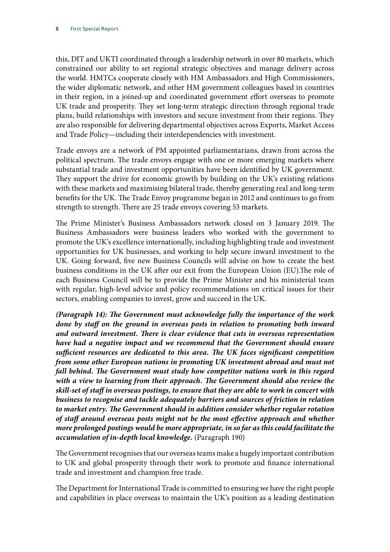this, DIT and UKTI coordinated through a leadership network in over 80 markets, which constrained our ability to set regional strategic objectives and manage delivery across the world. HMTCs cooperate closely with HM Ambassadors and High Commissioners, the wider diplomatic network, and other HM government colleagues based in countries in their region, in a joined-up and coordinated government effort overseas to promote UK trade and prosperity. They set long-term strategic direction through regional trade plans, build relationships with investors and secure investment from their regions. They are also responsible for delivering departmental objectives across Exports, Market Access and Trade Policy—including their interdependencies with investment.

Trade envoys are a network of PM appointed parliamentarians, drawn from across the political spectrum. The trade envoys engage with one or more emerging markets where substantial trade and investment opportunities have been identified by UK government. They support the drive for economic growth by building on the UK's existing relations with these markets and maximising bilateral trade, thereby generating real and long-term benefits for the UK. The Trade Envoy programme began in 2012 and continues to go from strength to strength. There are 25 trade envoys covering 53 markets.

The Prime Minister's Business Ambassadors network closed on 3 January 2019. The Business Ambassadors were business leaders who worked with the government to promote the UK's excellence internationally, including highlighting trade and investment opportunities for UK businesses, and working to help secure inward investment to the UK. Going forward, five new Business Councils will advise on how to create the best business conditions in the UK after our exit from the European Union (EU).The role of each Business Council will be to provide the Prime Minister and his ministerial team with regular, high-level advice and policy recommendations on critical issues for their sectors, enabling companies to invest, grow and succeed in the UK.

*(Paragraph 14): The Government must acknowledge fully the importance of the work*  done by staff on the ground in overseas posts in relation to promoting both inward *and outward investment. There is clear evidence that cuts in overseas representation have had a negative impact and we recommend that the Government should ensure sufficient resources are dedicated to this area. The UK faces significant competition from some other European nations in promoting UK investment abroad and must not fall behind. The Government must study how competitor nations work in this regard with a view to learning from their approach. The Government should also review the skill-set of staff in overseas postings, to ensure that they are able to work in concert with business to recognise and tackle adequately barriers and sources of friction in relation to market entry. The Government should in addition consider whether regular rotation of staff around overseas posts might not be the most effective approach and whether more prolonged postings would be more appropriate, in so far as this could facilitate the accumulation of in-depth local knowledge.* (Paragraph 190)

The Government recognises that our overseas teams make a hugely important contribution to UK and global prosperity through their work to promote and finance international trade and investment and champion free trade.

The Department for International Trade is committed to ensuring we have the right people and capabilities in place overseas to maintain the UK's position as a leading destination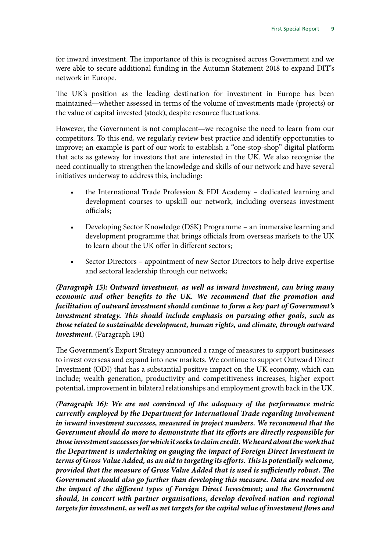for inward investment. The importance of this is recognised across Government and we were able to secure additional funding in the Autumn Statement 2018 to expand DIT's network in Europe.

The UK's position as the leading destination for investment in Europe has been maintained—whether assessed in terms of the volume of investments made (projects) or the value of capital invested (stock), despite resource fluctuations.

However, the Government is not complacent—we recognise the need to learn from our competitors. To this end, we regularly review best practice and identify opportunities to improve; an example is part of our work to establish a "one-stop-shop" digital platform that acts as gateway for investors that are interested in the UK. We also recognise the need continually to strengthen the knowledge and skills of our network and have several initiatives underway to address this, including:

- the International Trade Profession & FDI Academy dedicated learning and development courses to upskill our network, including overseas investment officials;
- Developing Sector Knowledge (DSK) Programme an immersive learning and development programme that brings officials from overseas markets to the UK to learn about the UK offer in different sectors;
- Sector Directors appointment of new Sector Directors to help drive expertise and sectoral leadership through our network;

*(Paragraph 15): Outward investment, as well as inward investment, can bring many economic and other benefits to the UK. We recommend that the promotion and facilitation of outward investment should continue to form a key part of Government's investment strategy. This should include emphasis on pursuing other goals, such as those related to sustainable development, human rights, and climate, through outward investment.* (Paragraph 191)

The Government's Export Strategy announced a range of measures to support businesses to invest overseas and expand into new markets. We continue to support Outward Direct Investment (ODI) that has a substantial positive impact on the UK economy, which can include; wealth generation, productivity and competitiveness increases, higher export potential, improvement in bilateral relationships and employment growth back in the UK.

*(Paragraph 16): We are not convinced of the adequacy of the performance metric currently employed by the Department for International Trade regarding involvement in inward investment successes, measured in project numbers. We recommend that the Government should do more to demonstrate that its efforts are directly responsible for those investment successes for which it seeks to claim credit. We heard about the work that the Department is undertaking on gauging the impact of Foreign Direct Investment in terms of Gross Value Added, as an aid to targeting its efforts. This is potentially welcome, provided that the measure of Gross Value Added that is used is sufficiently robust. The Government should also go further than developing this measure. Data are needed on the impact of the different types of Foreign Direct Investment; and the Government should, in concert with partner organisations, develop devolved-nation and regional targets for investment, as well as net targets for the capital value of investment flows and*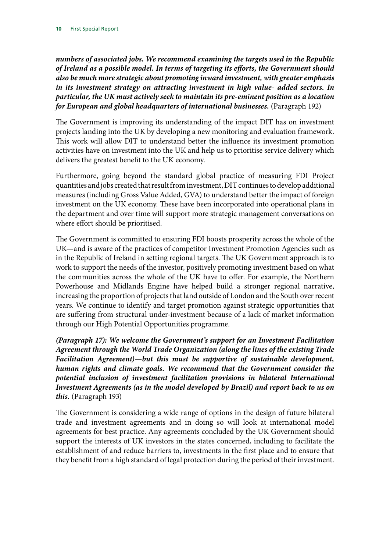*numbers of associated jobs. We recommend examining the targets used in the Republic of Ireland as a possible model. In terms of targeting its efforts, the Government should also be much more strategic about promoting inward investment, with greater emphasis in its investment strategy on attracting investment in high value- added sectors. In particular, the UK must actively seek to maintain its pre-eminent position as a location for European and global headquarters of international businesses.* (Paragraph 192)

The Government is improving its understanding of the impact DIT has on investment projects landing into the UK by developing a new monitoring and evaluation framework. This work will allow DIT to understand better the influence its investment promotion activities have on investment into the UK and help us to prioritise service delivery which delivers the greatest benefit to the UK economy.

Furthermore, going beyond the standard global practice of measuring FDI Project quantities and jobs created that result from investment, DIT continues to develop additional measures (including Gross Value Added, GVA) to understand better the impact of foreign investment on the UK economy. These have been incorporated into operational plans in the department and over time will support more strategic management conversations on where effort should be prioritised.

The Government is committed to ensuring FDI boosts prosperity across the whole of the UK—and is aware of the practices of competitor Investment Promotion Agencies such as in the Republic of Ireland in setting regional targets. The UK Government approach is to work to support the needs of the investor, positively promoting investment based on what the communities across the whole of the UK have to offer. For example, the Northern Powerhouse and Midlands Engine have helped build a stronger regional narrative, increasing the proportion of projects that land outside of London and the South over recent years. We continue to identify and target promotion against strategic opportunities that are suffering from structural under-investment because of a lack of market information through our High Potential Opportunities programme.

*(Paragraph 17): We welcome the Government's support for an Investment Facilitation Agreement through the World Trade Organization (along the lines of the existing Trade Facilitation Agreement)—but this must be supportive of sustainable development, human rights and climate goals. We recommend that the Government consider the potential inclusion of investment facilitation provisions in bilateral International Investment Agreements (as in the model developed by Brazil) and report back to us on this.* (Paragraph 193)

The Government is considering a wide range of options in the design of future bilateral trade and investment agreements and in doing so will look at international model agreements for best practice. Any agreements concluded by the UK Government should support the interests of UK investors in the states concerned, including to facilitate the establishment of and reduce barriers to, investments in the first place and to ensure that they benefit from a high standard of legal protection during the period of their investment.